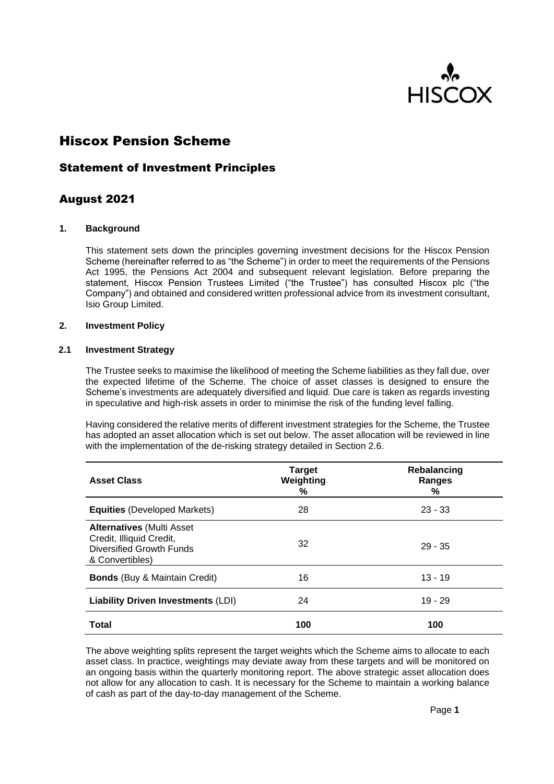

# Hiscox Pension Scheme

## Statement of Investment Principles

## August 2021

#### **1. Background**

This statement sets down the principles governing investment decisions for the Hiscox Pension Scheme (hereinafter referred to as "the Scheme") in order to meet the requirements of the Pensions Act 1995, the Pensions Act 2004 and subsequent relevant legislation. Before preparing the statement, Hiscox Pension Trustees Limited ("the Trustee") has consulted Hiscox plc ("the Company") and obtained and considered written professional advice from its investment consultant, Isio Group Limited.

#### **2. Investment Policy**

#### **2.1 Investment Strategy**

The Trustee seeks to maximise the likelihood of meeting the Scheme liabilities as they fall due, over the expected lifetime of the Scheme. The choice of asset classes is designed to ensure the Scheme's investments are adequately diversified and liquid. Due care is taken as regards investing in speculative and high-risk assets in order to minimise the risk of the funding level falling.

Having considered the relative merits of different investment strategies for the Scheme, the Trustee has adopted an asset allocation which is set out below. The asset allocation will be reviewed in line with the implementation of the de-risking strategy detailed in Section 2.6.

| <b>Asset Class</b>                                                                                          | <b>Target</b><br>Weighting<br>℅ | Rebalancing<br>Ranges<br>% |
|-------------------------------------------------------------------------------------------------------------|---------------------------------|----------------------------|
| <b>Equities (Developed Markets)</b>                                                                         | 28                              | $23 - 33$                  |
| <b>Alternatives (Multi Asset</b><br>Credit, Illiquid Credit,<br>Diversified Growth Funds<br>& Convertibles) | 32                              | $29 - 35$                  |
| <b>Bonds</b> (Buy & Maintain Credit)                                                                        | 16                              | $13 - 19$                  |
| <b>Liability Driven Investments (LDI)</b>                                                                   | 24                              | $19 - 29$                  |
| <b>Total</b>                                                                                                | 100                             | 100                        |

The above weighting splits represent the target weights which the Scheme aims to allocate to each asset class. In practice, weightings may deviate away from these targets and will be monitored on an ongoing basis within the quarterly monitoring report. The above strategic asset allocation does not allow for any allocation to cash. It is necessary for the Scheme to maintain a working balance of cash as part of the day-to-day management of the Scheme.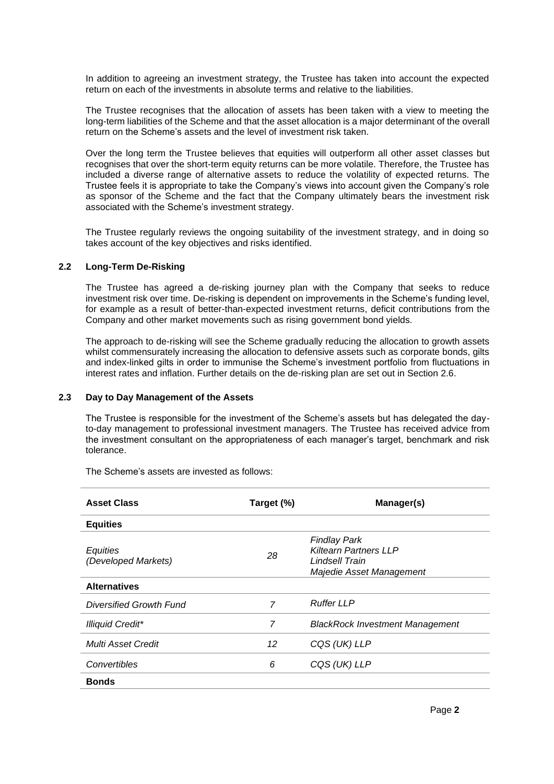In addition to agreeing an investment strategy, the Trustee has taken into account the expected return on each of the investments in absolute terms and relative to the liabilities.

The Trustee recognises that the allocation of assets has been taken with a view to meeting the long-term liabilities of the Scheme and that the asset allocation is a major determinant of the overall return on the Scheme's assets and the level of investment risk taken.

Over the long term the Trustee believes that equities will outperform all other asset classes but recognises that over the short-term equity returns can be more volatile. Therefore, the Trustee has included a diverse range of alternative assets to reduce the volatility of expected returns. The Trustee feels it is appropriate to take the Company's views into account given the Company's role as sponsor of the Scheme and the fact that the Company ultimately bears the investment risk associated with the Scheme's investment strategy.

The Trustee regularly reviews the ongoing suitability of the investment strategy, and in doing so takes account of the key objectives and risks identified.

#### **2.2 Long-Term De-Risking**

The Trustee has agreed a de-risking journey plan with the Company that seeks to reduce investment risk over time. De-risking is dependent on improvements in the Scheme's funding level, for example as a result of better-than-expected investment returns, deficit contributions from the Company and other market movements such as rising government bond yields.

The approach to de-risking will see the Scheme gradually reducing the allocation to growth assets whilst commensurately increasing the allocation to defensive assets such as corporate bonds, gilts and index-linked gilts in order to immunise the Scheme's investment portfolio from fluctuations in interest rates and inflation. Further details on the de-risking plan are set out in Section 2.6.

#### **2.3 Day to Day Management of the Assets**

The Trustee is responsible for the investment of the Scheme's assets but has delegated the dayto-day management to professional investment managers. The Trustee has received advice from the investment consultant on the appropriateness of each manager's target, benchmark and risk tolerance.

| <b>Asset Class</b>              | Target (%) | Manager(s)                                                                                        |
|---------------------------------|------------|---------------------------------------------------------------------------------------------------|
| <b>Equities</b>                 |            |                                                                                                   |
| Equities<br>(Developed Markets) | 28         | <b>Findlay Park</b><br><b>Kiltearn Partners LLP</b><br>Lindsell Train<br>Majedie Asset Management |
| <b>Alternatives</b>             |            |                                                                                                   |
| Diversified Growth Fund         | 7          | <b>Ruffer LLP</b>                                                                                 |
| <b>Illiquid Credit*</b>         | 7          | <b>BlackRock Investment Management</b>                                                            |
| Multi Asset Credit              | 12         | CQS (UK) LLP                                                                                      |
| Convertibles                    | 6          | CQS (UK) LLP                                                                                      |
| <b>Bonds</b>                    |            |                                                                                                   |

The Scheme's assets are invested as follows: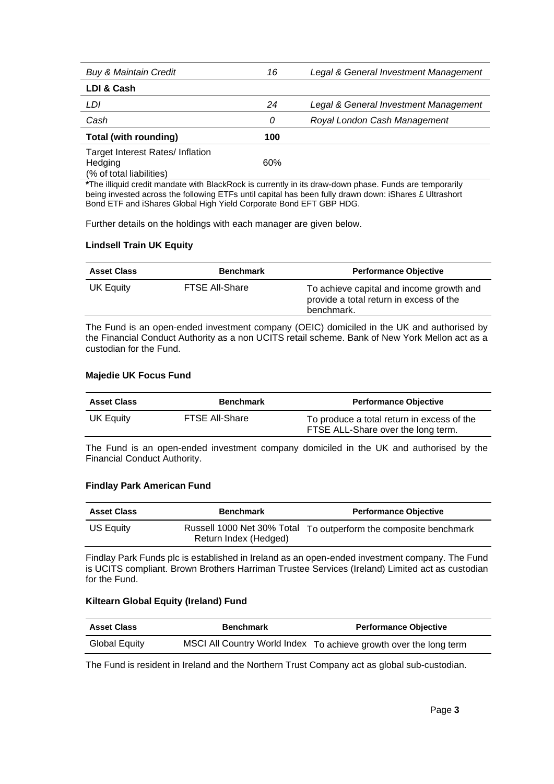| <b>Buy &amp; Maintain Credit</b>                                              | 16  | Legal & General Investment Management |
|-------------------------------------------------------------------------------|-----|---------------------------------------|
| LDI & Cash                                                                    |     |                                       |
| LDI                                                                           | 24  | Legal & General Investment Management |
| Cash                                                                          | 0   | Royal London Cash Management          |
| Total (with rounding)                                                         | 100 |                                       |
| <b>Target Interest Rates/Inflation</b><br>Hedging<br>(% of total liabilities) | 60% |                                       |

**\***The illiquid credit mandate with BlackRock is currently in its draw-down phase. Funds are temporarily being invested across the following ETFs until capital has been fully drawn down: iShares £ Ultrashort Bond ETF and iShares Global High Yield Corporate Bond EFT GBP HDG.

Further details on the holdings with each manager are given below.

## **Lindsell Train UK Equity**

| <b>Asset Class</b> | <b>Benchmark</b>      | <b>Performance Objective</b>                                                                      |
|--------------------|-----------------------|---------------------------------------------------------------------------------------------------|
| UK Equity          | <b>FTSE All-Share</b> | To achieve capital and income growth and<br>provide a total return in excess of the<br>benchmark. |

The Fund is an open-ended investment company (OEIC) domiciled in the UK and authorised by the Financial Conduct Authority as a non UCITS retail scheme. Bank of New York Mellon act as a custodian for the Fund.

## **Majedie UK Focus Fund**

| <b>Asset Class</b> | <b>Benchmark</b>      | <b>Performance Objective</b>                                                     |
|--------------------|-----------------------|----------------------------------------------------------------------------------|
| UK Equity          | <b>FTSE All-Share</b> | To produce a total return in excess of the<br>FTSE ALL-Share over the long term. |

The Fund is an open-ended investment company domiciled in the UK and authorised by the Financial Conduct Authority.

## **Findlay Park American Fund**

| <b>Asset Class</b> | <b>Benchmark</b>                                    | <b>Performance Objective</b>          |
|--------------------|-----------------------------------------------------|---------------------------------------|
| US Equity          | Russell 1000 Net 30% Total<br>Return Index (Hedged) | To outperform the composite benchmark |

Findlay Park Funds plc is established in Ireland as an open-ended investment company. The Fund is UCITS compliant. Brown Brothers Harriman Trustee Services (Ireland) Limited act as custodian for the Fund.

## **Kiltearn Global Equity (Ireland) Fund**

| <b>Asset Class</b> | <b>Benchmark</b> | <b>Performance Objective</b>                                      |
|--------------------|------------------|-------------------------------------------------------------------|
| Global Equity      |                  | MSCI All Country World Index To achieve growth over the long term |

The Fund is resident in Ireland and the Northern Trust Company act as global sub-custodian.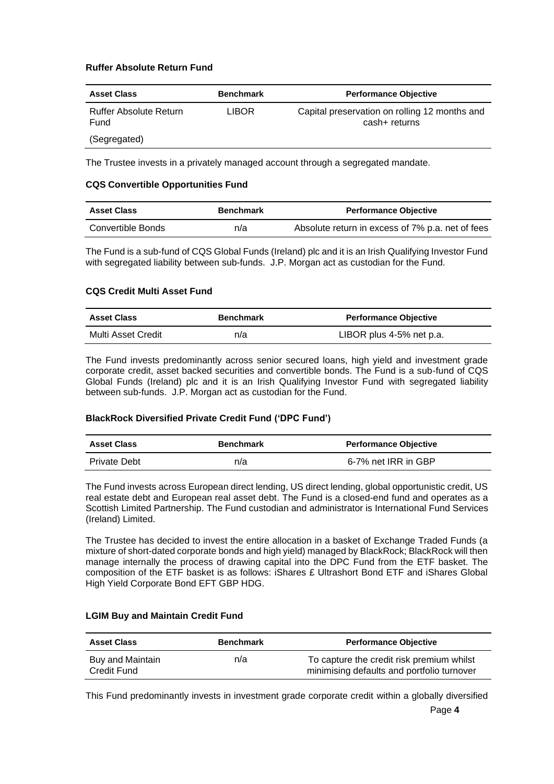## **Ruffer Absolute Return Fund**

| <b>Asset Class</b>                    | <b>Benchmark</b> | <b>Performance Objective</b>                                   |
|---------------------------------------|------------------|----------------------------------------------------------------|
| <b>Ruffer Absolute Return</b><br>Fund | LIBOR            | Capital preservation on rolling 12 months and<br>cash+ returns |
| (Segregated)                          |                  |                                                                |

The Trustee invests in a privately managed account through a segregated mandate.

### **CQS Convertible Opportunities Fund**

| <b>Asset Class</b> | <b>Benchmark</b> | <b>Performance Objective</b>                     |
|--------------------|------------------|--------------------------------------------------|
| Convertible Bonds  | n/a              | Absolute return in excess of 7% p.a. net of fees |

The Fund is a sub-fund of CQS Global Funds (Ireland) plc and it is an Irish Qualifying Investor Fund with segregated liability between sub-funds. J.P. Morgan act as custodian for the Fund.

### **CQS Credit Multi Asset Fund**

| <b>Asset Class</b> | <b>Benchmark</b> | <b>Performance Objective</b> |
|--------------------|------------------|------------------------------|
| Multi Asset Credit | n/a              | LIBOR plus 4-5% net p.a.     |

The Fund invests predominantly across senior secured loans, high yield and investment grade corporate credit, asset backed securities and convertible bonds. The Fund is a sub-fund of CQS Global Funds (Ireland) plc and it is an Irish Qualifying Investor Fund with segregated liability between sub-funds. J.P. Morgan act as custodian for the Fund.

## **BlackRock Diversified Private Credit Fund ('DPC Fund')**

| <b>Asset Class</b>  | <b>Benchmark</b> | <b>Performance Objective</b> |
|---------------------|------------------|------------------------------|
| <b>Private Debt</b> | n/a              | 6-7% net IRR in GBP          |

The Fund invests across European direct lending, US direct lending, global opportunistic credit, US real estate debt and European real asset debt. The Fund is a closed-end fund and operates as a Scottish Limited Partnership. The Fund custodian and administrator is International Fund Services (Ireland) Limited.

The Trustee has decided to invest the entire allocation in a basket of Exchange Traded Funds (a mixture of short-dated corporate bonds and high yield) managed by BlackRock; BlackRock will then manage internally the process of drawing capital into the DPC Fund from the ETF basket. The composition of the ETF basket is as follows: iShares £ Ultrashort Bond ETF and iShares Global High Yield Corporate Bond EFT GBP HDG.

#### **LGIM Buy and Maintain Credit Fund**

| <b>Asset Class</b>              | <b>Benchmark</b> | <b>Performance Objective</b>                                                            |
|---------------------------------|------------------|-----------------------------------------------------------------------------------------|
| Buy and Maintain<br>Credit Fund | n/a              | To capture the credit risk premium whilst<br>minimising defaults and portfolio turnover |

Page **4** This Fund predominantly invests in investment grade corporate credit within a globally diversified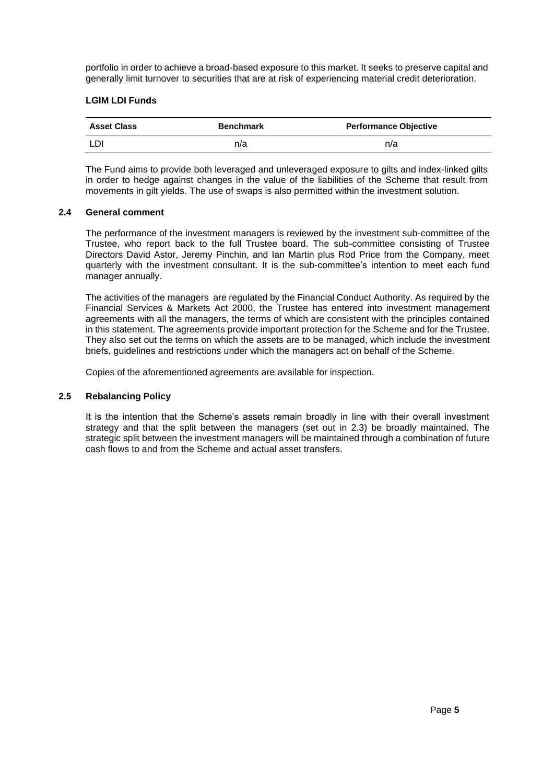portfolio in order to achieve a broad-based exposure to this market. It seeks to preserve capital and generally limit turnover to securities that are at risk of experiencing material credit deterioration.

## **LGIM LDI Funds**

| <b>Asset Class</b> | <b>Benchmark</b> | <b>Performance Objective</b> |
|--------------------|------------------|------------------------------|
| LDI                | n/a              | n/a                          |

The Fund aims to provide both leveraged and unleveraged exposure to gilts and index-linked gilts in order to hedge against changes in the value of the liabilities of the Scheme that result from movements in gilt yields. The use of swaps is also permitted within the investment solution.

## **2.4 General comment**

The performance of the investment managers is reviewed by the investment sub-committee of the Trustee, who report back to the full Trustee board. The sub-committee consisting of Trustee Directors David Astor, Jeremy Pinchin, and Ian Martin plus Rod Price from the Company, meet quarterly with the investment consultant. It is the sub-committee's intention to meet each fund manager annually.

The activities of the managers are regulated by the Financial Conduct Authority. As required by the Financial Services & Markets Act 2000, the Trustee has entered into investment management agreements with all the managers, the terms of which are consistent with the principles contained in this statement. The agreements provide important protection for the Scheme and for the Trustee. They also set out the terms on which the assets are to be managed, which include the investment briefs, guidelines and restrictions under which the managers act on behalf of the Scheme.

Copies of the aforementioned agreements are available for inspection.

## **2.5 Rebalancing Policy**

It is the intention that the Scheme's assets remain broadly in line with their overall investment strategy and that the split between the managers (set out in 2.3) be broadly maintained. The strategic split between the investment managers will be maintained through a combination of future cash flows to and from the Scheme and actual asset transfers.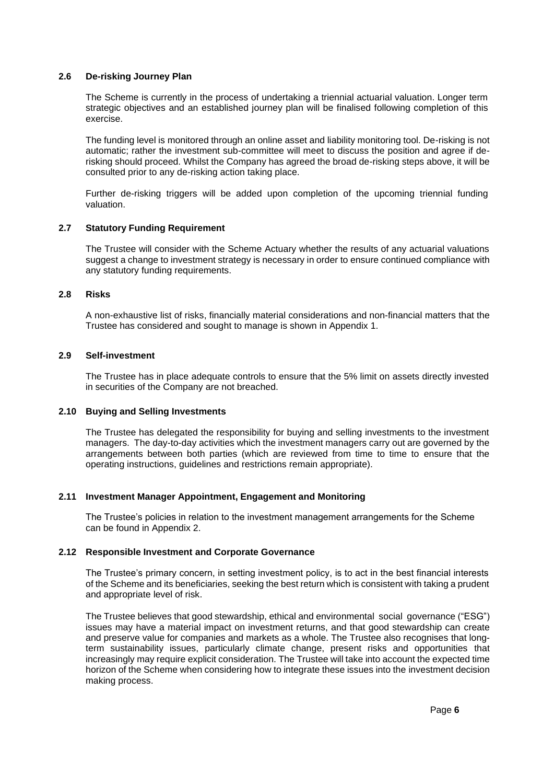#### **2.6 De-risking Journey Plan**

The Scheme is currently in the process of undertaking a triennial actuarial valuation. Longer term strategic objectives and an established journey plan will be finalised following completion of this exercise.

The funding level is monitored through an online asset and liability monitoring tool. De-risking is not automatic; rather the investment sub-committee will meet to discuss the position and agree if derisking should proceed. Whilst the Company has agreed the broad de-risking steps above, it will be consulted prior to any de-risking action taking place.

Further de-risking triggers will be added upon completion of the upcoming triennial funding valuation.

#### **2.7 Statutory Funding Requirement**

The Trustee will consider with the Scheme Actuary whether the results of any actuarial valuations suggest a change to investment strategy is necessary in order to ensure continued compliance with any statutory funding requirements.

### **2.8 Risks**

A non-exhaustive list of risks, financially material considerations and non-financial matters that the Trustee has considered and sought to manage is shown in Appendix 1.

#### **2.9 Self-investment**

The Trustee has in place adequate controls to ensure that the 5% limit on assets directly invested in securities of the Company are not breached.

#### **2.10 Buying and Selling Investments**

The Trustee has delegated the responsibility for buying and selling investments to the investment managers. The day-to-day activities which the investment managers carry out are governed by the arrangements between both parties (which are reviewed from time to time to ensure that the operating instructions, guidelines and restrictions remain appropriate).

## **2.11 Investment Manager Appointment, Engagement and Monitoring**

The Trustee's policies in relation to the investment management arrangements for the Scheme can be found in Appendix 2.

#### **2.12 Responsible Investment and Corporate Governance**

The Trustee's primary concern, in setting investment policy, is to act in the best financial interests of the Scheme and its beneficiaries, seeking the best return which is consistent with taking a prudent and appropriate level of risk.

The Trustee believes that good stewardship, ethical and environmental social governance ("ESG") issues may have a material impact on investment returns, and that good stewardship can create and preserve value for companies and markets as a whole. The Trustee also recognises that longterm sustainability issues, particularly climate change, present risks and opportunities that increasingly may require explicit consideration. The Trustee will take into account the expected time horizon of the Scheme when considering how to integrate these issues into the investment decision making process.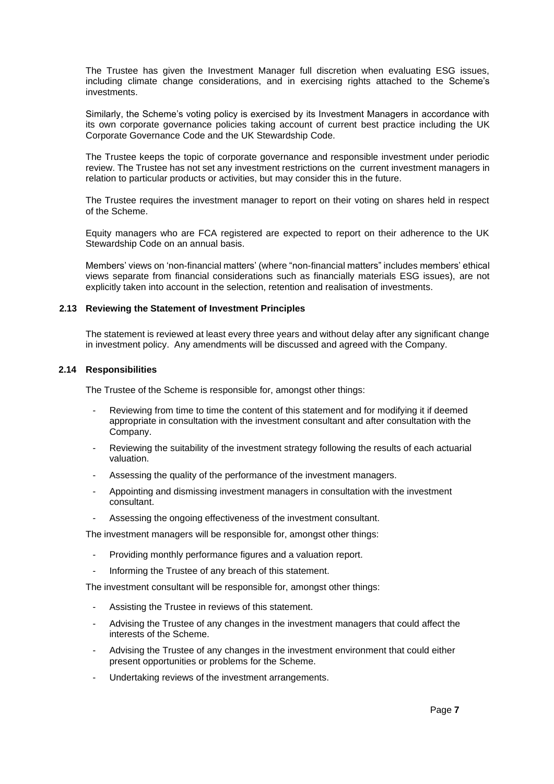The Trustee has given the Investment Manager full discretion when evaluating ESG issues, including climate change considerations, and in exercising rights attached to the Scheme's investments.

Similarly, the Scheme's voting policy is exercised by its Investment Managers in accordance with its own corporate governance policies taking account of current best practice including the UK Corporate Governance Code and the UK Stewardship Code.

The Trustee keeps the topic of corporate governance and responsible investment under periodic review. The Trustee has not set any investment restrictions on the current investment managers in relation to particular products or activities, but may consider this in the future.

The Trustee requires the investment manager to report on their voting on shares held in respect of the Scheme.

Equity managers who are FCA registered are expected to report on their adherence to the UK Stewardship Code on an annual basis.

Members' views on 'non-financial matters' (where "non-financial matters" includes members' ethical views separate from financial considerations such as financially materials ESG issues), are not explicitly taken into account in the selection, retention and realisation of investments.

#### **2.13 Reviewing the Statement of Investment Principles**

The statement is reviewed at least every three years and without delay after any significant change in investment policy. Any amendments will be discussed and agreed with the Company.

#### **2.14 Responsibilities**

The Trustee of the Scheme is responsible for, amongst other things:

- Reviewing from time to time the content of this statement and for modifying it if deemed appropriate in consultation with the investment consultant and after consultation with the Company.
- Reviewing the suitability of the investment strategy following the results of each actuarial valuation.
- Assessing the quality of the performance of the investment managers.
- Appointing and dismissing investment managers in consultation with the investment consultant.
- Assessing the ongoing effectiveness of the investment consultant.

The investment managers will be responsible for, amongst other things:

- Providing monthly performance figures and a valuation report.
- Informing the Trustee of any breach of this statement.

The investment consultant will be responsible for, amongst other things:

- Assisting the Trustee in reviews of this statement.
- Advising the Trustee of any changes in the investment managers that could affect the interests of the Scheme.
- Advising the Trustee of any changes in the investment environment that could either present opportunities or problems for the Scheme.
- Undertaking reviews of the investment arrangements.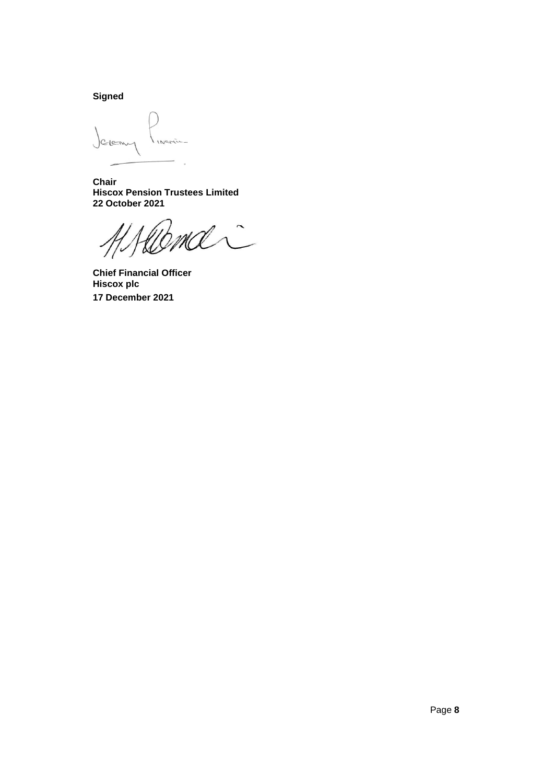**Signed**

Javanne  $1Nc$ 

**Chair Hiscox Pension Trustees Limited 22 October 2021**

 $\hat{C}$ 

**Chief Financial Officer Hiscox plc 17 December 2021**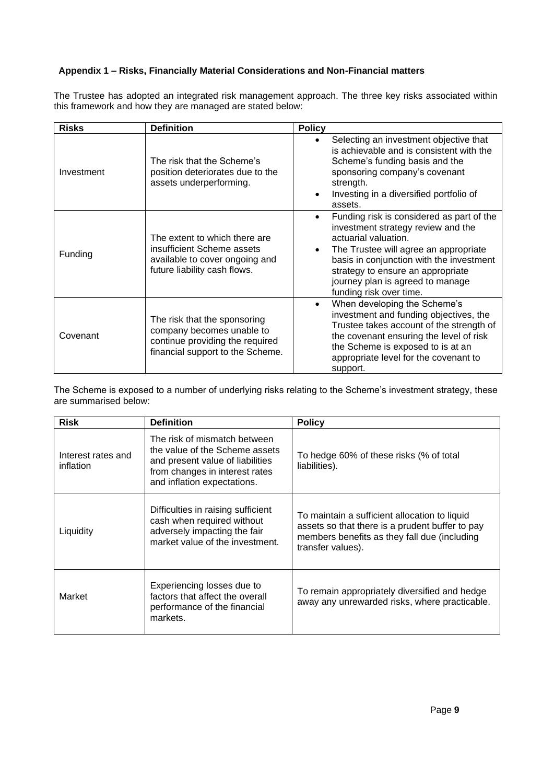## **Appendix 1 – Risks, Financially Material Considerations and Non-Financial matters**

The Trustee has adopted an integrated risk management approach. The three key risks associated within this framework and how they are managed are stated below:

| <b>Risks</b> | <b>Definition</b>                                                                                                                | <b>Policy</b>                                                                                                                                                                                                                                                                                                 |
|--------------|----------------------------------------------------------------------------------------------------------------------------------|---------------------------------------------------------------------------------------------------------------------------------------------------------------------------------------------------------------------------------------------------------------------------------------------------------------|
| Investment   | The risk that the Scheme's<br>position deteriorates due to the<br>assets underperforming.                                        | Selecting an investment objective that<br>is achievable and is consistent with the<br>Scheme's funding basis and the<br>sponsoring company's covenant<br>strength.<br>Investing in a diversified portfolio of<br>$\bullet$<br>assets.                                                                         |
| Funding      | The extent to which there are<br>insufficient Scheme assets<br>available to cover ongoing and<br>future liability cash flows.    | Funding risk is considered as part of the<br>$\bullet$<br>investment strategy review and the<br>actuarial valuation.<br>The Trustee will agree an appropriate<br>basis in conjunction with the investment<br>strategy to ensure an appropriate<br>journey plan is agreed to manage<br>funding risk over time. |
| Covenant     | The risk that the sponsoring<br>company becomes unable to<br>continue providing the required<br>financial support to the Scheme. | When developing the Scheme's<br>$\bullet$<br>investment and funding objectives, the<br>Trustee takes account of the strength of<br>the covenant ensuring the level of risk<br>the Scheme is exposed to is at an<br>appropriate level for the covenant to<br>support.                                          |

The Scheme is exposed to a number of underlying risks relating to the Scheme's investment strategy, these are summarised below:

| <b>Risk</b>                     | <b>Definition</b>                                                                                                                                                   | <b>Policy</b>                                                                                                                                                         |
|---------------------------------|---------------------------------------------------------------------------------------------------------------------------------------------------------------------|-----------------------------------------------------------------------------------------------------------------------------------------------------------------------|
| Interest rates and<br>inflation | The risk of mismatch between<br>the value of the Scheme assets<br>and present value of liabilities<br>from changes in interest rates<br>and inflation expectations. | To hedge 60% of these risks (% of total<br>liabilities).                                                                                                              |
| Liquidity                       | Difficulties in raising sufficient<br>cash when required without<br>adversely impacting the fair<br>market value of the investment.                                 | To maintain a sufficient allocation to liquid<br>assets so that there is a prudent buffer to pay<br>members benefits as they fall due (including<br>transfer values). |
| Market                          | Experiencing losses due to<br>factors that affect the overall<br>performance of the financial<br>markets.                                                           | To remain appropriately diversified and hedge<br>away any unrewarded risks, where practicable.                                                                        |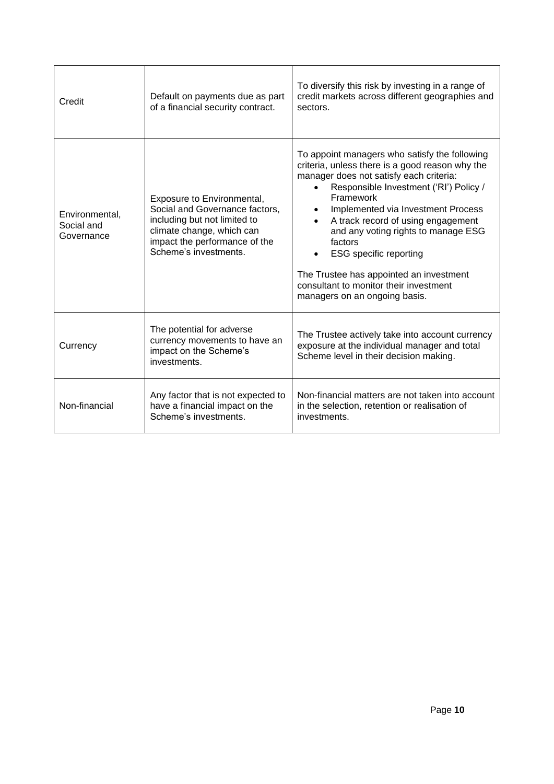| Credit                                     | Default on payments due as part<br>of a financial security contract.                                                                                                                | To diversify this risk by investing in a range of<br>credit markets across different geographies and<br>sectors.                                                                                                                                                                                                                                                                                                                                                                                     |
|--------------------------------------------|-------------------------------------------------------------------------------------------------------------------------------------------------------------------------------------|------------------------------------------------------------------------------------------------------------------------------------------------------------------------------------------------------------------------------------------------------------------------------------------------------------------------------------------------------------------------------------------------------------------------------------------------------------------------------------------------------|
| Environmental,<br>Social and<br>Governance | Exposure to Environmental,<br>Social and Governance factors,<br>including but not limited to<br>climate change, which can<br>impact the performance of the<br>Scheme's investments. | To appoint managers who satisfy the following<br>criteria, unless there is a good reason why the<br>manager does not satisfy each criteria:<br>Responsible Investment ('RI') Policy /<br>Framework<br>Implemented via Investment Process<br>$\bullet$<br>A track record of using engagement<br>and any voting rights to manage ESG<br>factors<br><b>ESG</b> specific reporting<br>The Trustee has appointed an investment<br>consultant to monitor their investment<br>managers on an ongoing basis. |
| Currency                                   | The potential for adverse<br>currency movements to have an<br>impact on the Scheme's<br>investments.                                                                                | The Trustee actively take into account currency<br>exposure at the individual manager and total<br>Scheme level in their decision making.                                                                                                                                                                                                                                                                                                                                                            |
| Non-financial                              | Any factor that is not expected to<br>have a financial impact on the<br>Scheme's investments.                                                                                       | Non-financial matters are not taken into account<br>in the selection, retention or realisation of<br>investments.                                                                                                                                                                                                                                                                                                                                                                                    |